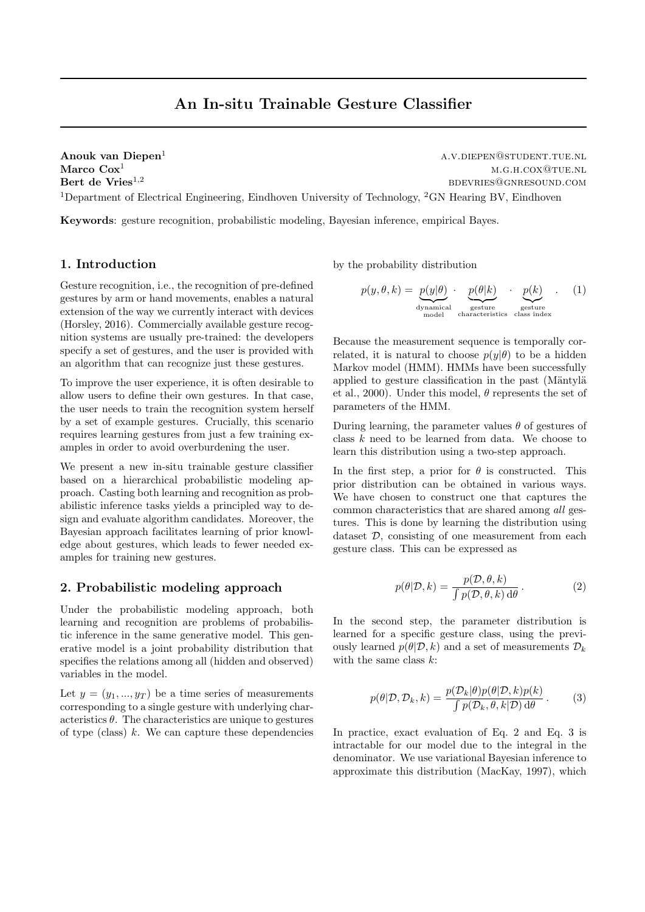# An In-situ Trainable Gesture Classifier

Anouk van Diepen<sup>1</sup> a.v.diependent.tue.nl Marco  $\text{Cox}^1$  m.g.h.cox@tue.nl Bert de Vries<sup>1,2</sup> bdevries@gnresound.com <sup>1</sup>Department of Electrical Engineering, Eindhoven University of Technology, <sup>2</sup>GN Hearing BV, Eindhoven

Keywords: gesture recognition, probabilistic modeling, Bayesian inference, empirical Bayes.

### 1. Introduction

Gesture recognition, i.e., the recognition of pre-defined gestures by arm or hand movements, enables a natural extension of the way we currently interact with devices (Horsley, 2016). Commercially available gesture recognition systems are usually pre-trained: the developers specify a set of gestures, and the user is provided with an algorithm that can recognize just these gestures.

To improve the user experience, it is often desirable to allow users to define their own gestures. In that case, the user needs to train the recognition system herself by a set of example gestures. Crucially, this scenario requires learning gestures from just a few training examples in order to avoid overburdening the user.

We present a new in-situ trainable gesture classifier based on a hierarchical probabilistic modeling approach. Casting both learning and recognition as probabilistic inference tasks yields a principled way to design and evaluate algorithm candidates. Moreover, the Bayesian approach facilitates learning of prior knowledge about gestures, which leads to fewer needed examples for training new gestures.

#### 2. Probabilistic modeling approach

Under the probabilistic modeling approach, both learning and recognition are problems of probabilistic inference in the same generative model. This generative model is a joint probability distribution that specifies the relations among all (hidden and observed) variables in the model.

Let  $y = (y_1, ..., y_T)$  be a time series of measurements corresponding to a single gesture with underlying characteristics  $\theta$ . The characteristics are unique to gestures of type (class)  $k$ . We can capture these dependencies by the probability distribution

$$
p(y, \theta, k) = \underbrace{p(y|\theta)}_{\text{dynamical}} \cdot \underbrace{p(\theta|k)}_{\text{gesture}} \cdot \underbrace{p(k)}_{\text{gesture}} \cdot (1)
$$

Because the measurement sequence is temporally correlated, it is natural to choose  $p(y|\theta)$  to be a hidden Markov model (HMM). HMMs have been successfully applied to gesture classification in the past (Mäntylä et al., 2000). Under this model,  $\theta$  represents the set of parameters of the HMM.

During learning, the parameter values  $\theta$  of gestures of class  $k$  need to be learned from data. We choose to learn this distribution using a two-step approach.

In the first step, a prior for  $\theta$  is constructed. This prior distribution can be obtained in various ways. We have chosen to construct one that captures the common characteristics that are shared among all gestures. This is done by learning the distribution using dataset  $D$ , consisting of one measurement from each gesture class. This can be expressed as

$$
p(\theta|\mathcal{D}, k) = \frac{p(\mathcal{D}, \theta, k)}{\int p(\mathcal{D}, \theta, k) d\theta}.
$$
 (2)

In the second step, the parameter distribution is learned for a specific gesture class, using the previously learned  $p(\theta|\mathcal{D}, k)$  and a set of measurements  $\mathcal{D}_k$ with the same class  $k$ :

$$
p(\theta|\mathcal{D}, \mathcal{D}_k, k) = \frac{p(\mathcal{D}_k|\theta)p(\theta|\mathcal{D}, k)p(k)}{\int p(\mathcal{D}_k, \theta, k|\mathcal{D}) \, d\theta}.
$$
 (3)

In practice, exact evaluation of Eq. 2 and Eq. 3 is intractable for our model due to the integral in the denominator. We use variational Bayesian inference to approximate this distribution (MacKay, 1997), which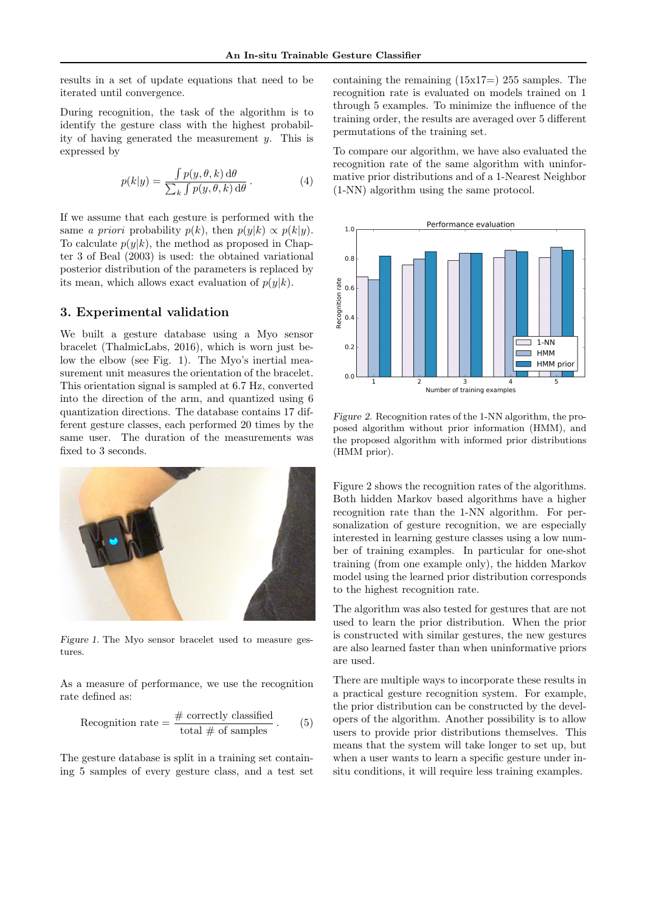results in a set of update equations that need to be iterated until convergence.

During recognition, the task of the algorithm is to identify the gesture class with the highest probability of having generated the measurement  $y$ . This is expressed by

$$
p(k|y) = \frac{\int p(y,\theta,k) \, d\theta}{\sum_{k} \int p(y,\theta,k) \, d\theta}.
$$
 (4)

If we assume that each gesture is performed with the same a priori probability  $p(k)$ , then  $p(y|k) \propto p(k|y)$ . To calculate  $p(y|k)$ , the method as proposed in Chapter 3 of Beal (2003) is used: the obtained variational posterior distribution of the parameters is replaced by its mean, which allows exact evaluation of  $p(y|k)$ .

#### 3. Experimental validation

We built a gesture database using a Myo sensor bracelet (ThalmicLabs, 2016), which is worn just below the elbow (see Fig. 1). The Myo's inertial measurement unit measures the orientation of the bracelet. This orientation signal is sampled at 6.7 Hz, converted into the direction of the arm, and quantized using 6 quantization directions. The database contains 17 different gesture classes, each performed 20 times by the same user. The duration of the measurements was fixed to 3 seconds.



Figure 1. The Myo sensor bracelet used to measure gestures.

As a measure of performance, we use the recognition rate defined as:

Reognition rate = 
$$
\frac{\text{\# correctly classified}}{\text{total \# of samples}}
$$
. (5)

The gesture database is split in a training set containing 5 samples of every gesture class, and a test set containing the remaining  $(15x17=)$  255 samples. The recognition rate is evaluated on models trained on 1 through 5 examples. To minimize the influence of the training order, the results are averaged over 5 different permutations of the training set.

To compare our algorithm, we have also evaluated the recognition rate of the same algorithm with uninformative prior distributions and of a 1-Nearest Neighbor (1-NN) algorithm using the same protocol.



Figure 2. Recognition rates of the 1-NN algorithm, the proposed algorithm without prior information (HMM), and the proposed algorithm with informed prior distributions (HMM prior).

Figure 2 shows the recognition rates of the algorithms. Both hidden Markov based algorithms have a higher recognition rate than the 1-NN algorithm. For personalization of gesture recognition, we are especially interested in learning gesture classes using a low number of training examples. In particular for one-shot training (from one example only), the hidden Markov model using the learned prior distribution corresponds to the highest recognition rate.

The algorithm was also tested for gestures that are not used to learn the prior distribution. When the prior is constructed with similar gestures, the new gestures are also learned faster than when uninformative priors are used.

There are multiple ways to incorporate these results in a practical gesture recognition system. For example, the prior distribution can be constructed by the developers of the algorithm. Another possibility is to allow users to provide prior distributions themselves. This means that the system will take longer to set up, but when a user wants to learn a specific gesture under insitu conditions, it will require less training examples.